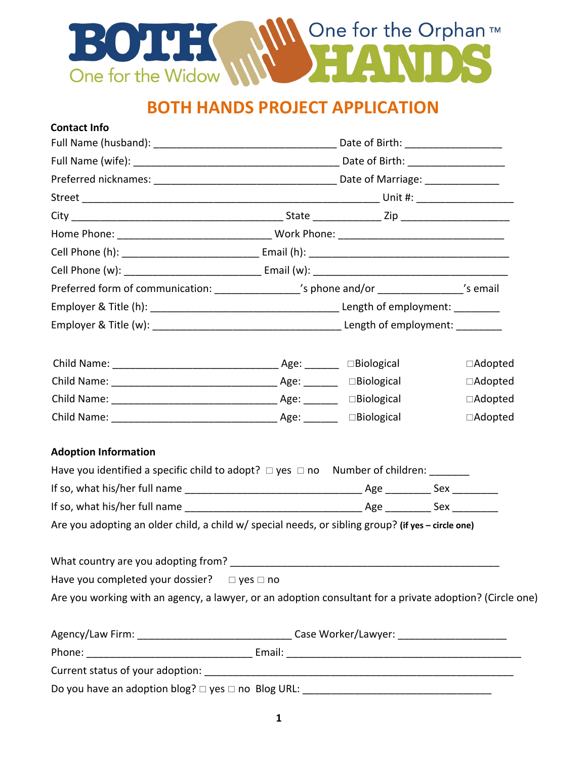

# **BOTH HANDS PROJECT APPLICATION**

| <b>Contact Info</b>                                                                                      |  |  |                |
|----------------------------------------------------------------------------------------------------------|--|--|----------------|
|                                                                                                          |  |  |                |
|                                                                                                          |  |  |                |
|                                                                                                          |  |  |                |
|                                                                                                          |  |  |                |
|                                                                                                          |  |  |                |
|                                                                                                          |  |  |                |
|                                                                                                          |  |  |                |
|                                                                                                          |  |  |                |
| Preferred form of communication: _________________'s phone and/or _______________'s email                |  |  |                |
|                                                                                                          |  |  |                |
|                                                                                                          |  |  |                |
|                                                                                                          |  |  | □Adopted       |
|                                                                                                          |  |  | $\Box$ Adopted |
|                                                                                                          |  |  | $\Box$ Adopted |
|                                                                                                          |  |  | $\Box$ Adopted |
| <b>Adoption Information</b>                                                                              |  |  |                |
| Have you identified a specific child to adopt? $\Box$ yes $\Box$ no Number of children: _______          |  |  |                |
|                                                                                                          |  |  |                |
|                                                                                                          |  |  |                |
| Are you adopting an older child, a child w/ special needs, or sibling group? (if yes - circle one)       |  |  |                |
|                                                                                                          |  |  |                |
| Have you completed your dossier? $\Box$ yes $\Box$ no                                                    |  |  |                |
| Are you working with an agency, a lawyer, or an adoption consultant for a private adoption? (Circle one) |  |  |                |
|                                                                                                          |  |  |                |
|                                                                                                          |  |  |                |
|                                                                                                          |  |  |                |
|                                                                                                          |  |  |                |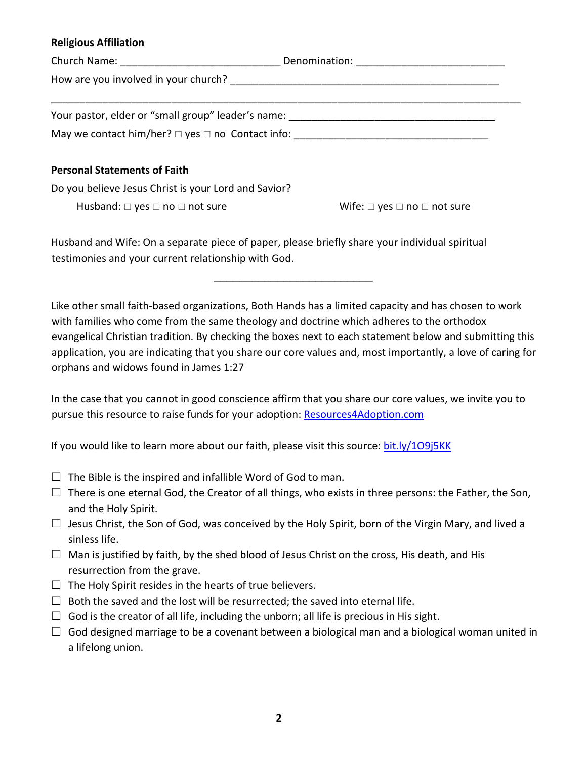#### **Religious Affiliation**

|                                                                  | Denomination: ____________________________ |  |
|------------------------------------------------------------------|--------------------------------------------|--|
|                                                                  |                                            |  |
|                                                                  |                                            |  |
| Your pastor, elder or "small group" leader's name:               |                                            |  |
| May we contact him/her? $\square$ yes $\square$ no Contact info: |                                            |  |
|                                                                  |                                            |  |

#### **Personal Statements of Faith**

Do you believe Jesus Christ is your Lord and Savior?

Husband:  $\Box$  yes  $\Box$  no  $\Box$  not sure  $\Box$   $\Box$  wife:  $\Box$  yes  $\Box$  no  $\Box$  not sure

Husband and Wife: On a separate piece of paper, please briefly share your individual spiritual testimonies and your current relationship with God.

Like other small faith-based organizations, Both Hands has a limited capacity and has chosen to work with families who come from the same theology and doctrine which adheres to the orthodox evangelical Christian tradition. By checking the boxes next to each statement below and submitting this application, you are indicating that you share our core values and, most importantly, a love of caring for orphans and widows found in James 1:27

 $\mathcal{L}_\text{max}$  , where  $\mathcal{L}_\text{max}$  , we have the set of  $\mathcal{L}_\text{max}$ 

In the case that you cannot in good conscience affirm that you share our core values, we invite you to pursue this resource to raise funds for your adoption: Resources4Adoption.com

If you would like to learn more about our faith, please visit this source: bit.ly/1O9j5KK

- $\Box$  The Bible is the inspired and infallible Word of God to man.
- $\Box$  There is one eternal God, the Creator of all things, who exists in three persons: the Father, the Son, and the Holy Spirit.
- $\Box$  Jesus Christ, the Son of God, was conceived by the Holy Spirit, born of the Virgin Mary, and lived a sinless life.
- $\Box$  Man is justified by faith, by the shed blood of Jesus Christ on the cross, His death, and His resurrection from the grave.
- $\Box$  The Holy Spirit resides in the hearts of true believers.
- $\square$  Both the saved and the lost will be resurrected; the saved into eternal life.
- $\Box$  God is the creator of all life, including the unborn; all life is precious in His sight.
- $\Box$  God designed marriage to be a covenant between a biological man and a biological woman united in a lifelong union.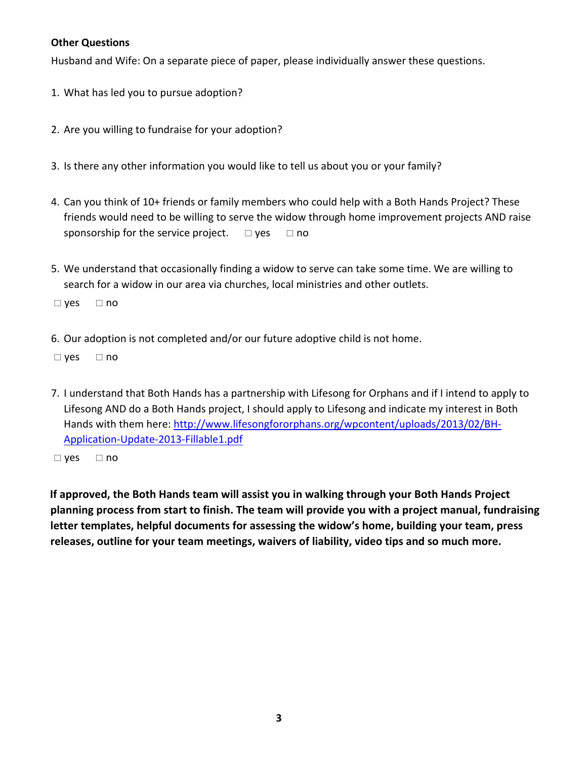### **Other Questions**

Husband and Wife: On a separate piece of paper, please individually answer these questions.

- 1. What has led you to pursue adoption?
- 2. Are you willing to fundraise for your adoption?
- 3. Is there any other information you would like to tell us about you or your family?
- 4. Can you think of 10+ friends or family members who could help with a Both Hands Project? These friends would need to be willing to serve the widow through home improvement projects AND raise sponsorship for the service project.  $\Box$  yes  $\Box$  no
- 5. We understand that occasionally finding a widow to serve can take some time. We are willing to search for a widow in our area via churches, local ministries and other outlets.

 $\Box$  yes  $\Box$  no

6. Our adoption is not completed and/or our future adoptive child is not home.

 $\Box$  yes  $\Box$  no

7. I understand that Both Hands has a partnership with Lifesong for Orphans and if I intend to apply to Lifesong AND do a Both Hands project, I should apply to Lifesong and indicate my interest in Both Hands with them here: http://www.lifesongfororphans.org/wpcontent/uploads/2013/02/BH-Application-Update-2013-Fillable1.pdf

 $\Box$  yes  $\Box$  no

**If approved, the Both Hands team will assist you in walking through your Both Hands Project planning process from start to finish. The team will provide you with a project manual, fundraising letter templates, helpful documents for assessing the widow's home, building your team, press releases, outline for your team meetings, waivers of liability, video tips and so much more.**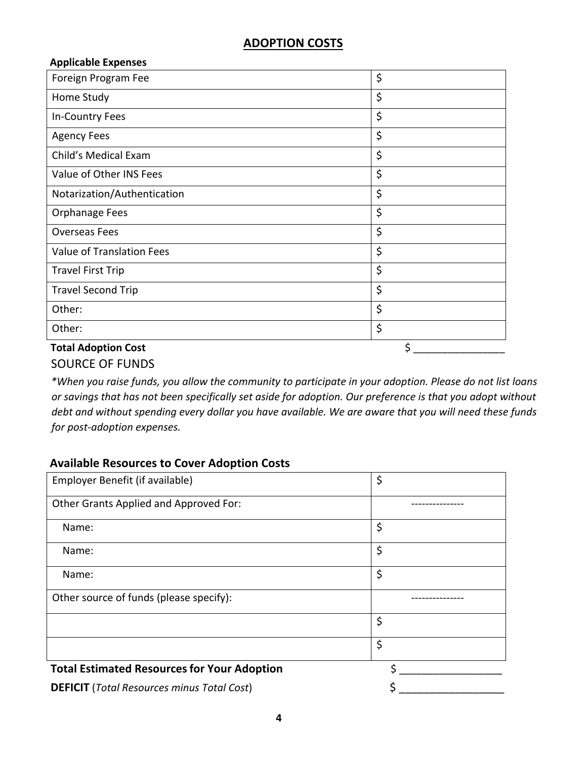# **ADOPTION COSTS**

| <b>Applicable Expenses</b>       |    |
|----------------------------------|----|
| Foreign Program Fee              | \$ |
| Home Study                       | \$ |
| In-Country Fees                  | \$ |
| <b>Agency Fees</b>               | \$ |
| Child's Medical Exam             | \$ |
| Value of Other INS Fees          | \$ |
| Notarization/Authentication      | \$ |
| <b>Orphanage Fees</b>            | \$ |
| <b>Overseas Fees</b>             | \$ |
| <b>Value of Translation Fees</b> | \$ |
| <b>Travel First Trip</b>         | \$ |
| <b>Travel Second Trip</b>        | \$ |
| Other:                           | \$ |
| Other:                           | \$ |
| <b>Total Adoption Cost</b>       | \$ |

# SOURCE OF FUNDS

*\*When you raise funds, you allow the community to participate in your adoption. Please do not list loans or savings that has not been specifically set aside for adoption. Our preference is that you adopt without debt and without spending every dollar you have available. We are aware that you will need these funds for post-adoption expenses.*

## **Available Resources to Cover Adoption Costs**

| Employer Benefit (if available)                    | \$ |
|----------------------------------------------------|----|
| Other Grants Applied and Approved For:             |    |
| Name:                                              | \$ |
| Name:                                              | \$ |
| Name:                                              | \$ |
| Other source of funds (please specify):            |    |
|                                                    | \$ |
|                                                    | \$ |
| <b>Total Estimated Resources for Your Adoption</b> | ¢  |
| <b>DEFICIT</b> (Total Resources minus Total Cost)  |    |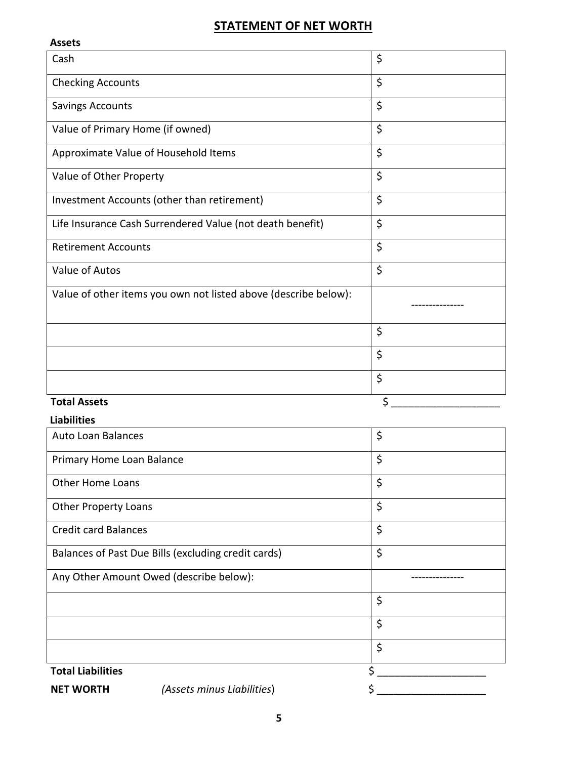# **STATEMENT OF NET WORTH**

| <b>Assets</b>                                                   |         |
|-----------------------------------------------------------------|---------|
| Cash                                                            | \$      |
| <b>Checking Accounts</b>                                        | \$      |
| <b>Savings Accounts</b>                                         | \$      |
| Value of Primary Home (if owned)                                | \$      |
| Approximate Value of Household Items                            | \$      |
| Value of Other Property                                         | $\zeta$ |
| Investment Accounts (other than retirement)                     | \$      |
| Life Insurance Cash Surrendered Value (not death benefit)       | \$      |
| <b>Retirement Accounts</b>                                      | \$      |
| Value of Autos                                                  | \$      |
| Value of other items you own not listed above (describe below): |         |
|                                                                 | \$      |
|                                                                 | \$      |
|                                                                 | \$      |
| <b>Total Assets</b>                                             | \$      |

### **Liabilities**

| <b>Auto Loan Balances</b>   |                                                     | \$ |
|-----------------------------|-----------------------------------------------------|----|
| Primary Home Loan Balance   |                                                     | \$ |
| <b>Other Home Loans</b>     |                                                     | \$ |
| <b>Other Property Loans</b> |                                                     | \$ |
| <b>Credit card Balances</b> |                                                     | \$ |
|                             | Balances of Past Due Bills (excluding credit cards) | \$ |
|                             |                                                     |    |
|                             | Any Other Amount Owed (describe below):             |    |
|                             |                                                     | \$ |
|                             |                                                     | \$ |
|                             |                                                     | \$ |
| <b>Total Liabilities</b>    |                                                     | Ś  |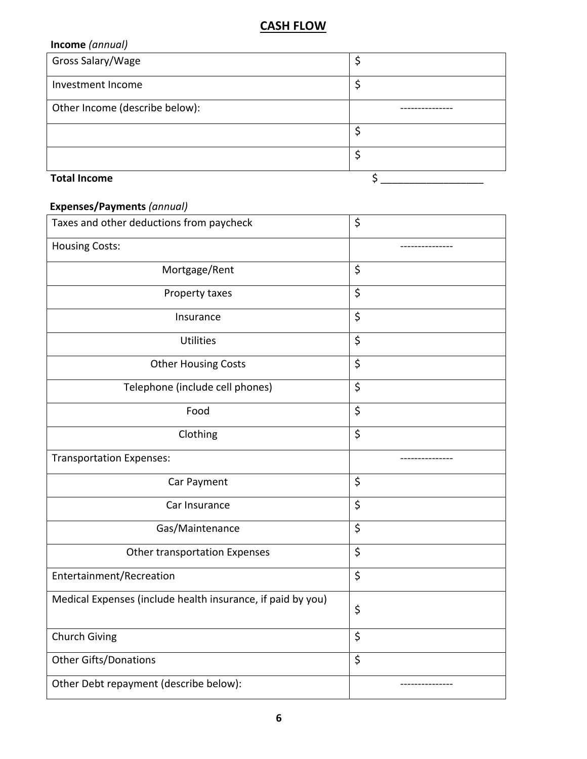# **CASH FLOW**

| Income (annual)                |    |
|--------------------------------|----|
| Gross Salary/Wage              | Ş  |
| Investment Income              | \$ |
| Other Income (describe below): |    |
|                                | \$ |
|                                | \$ |
| <b>Total Income</b>            |    |

## **Expenses/Payments** *(annual)*

| Taxes and other deductions from paycheck                    | \$ |
|-------------------------------------------------------------|----|
| <b>Housing Costs:</b>                                       |    |
| Mortgage/Rent                                               | \$ |
| Property taxes                                              | \$ |
| Insurance                                                   | \$ |
| <b>Utilities</b>                                            | \$ |
| <b>Other Housing Costs</b>                                  | \$ |
| Telephone (include cell phones)                             | \$ |
| Food                                                        | \$ |
| Clothing                                                    | \$ |
| <b>Transportation Expenses:</b>                             |    |
| Car Payment                                                 | \$ |
| Car Insurance                                               | \$ |
| Gas/Maintenance                                             |    |
|                                                             | \$ |
| Other transportation Expenses                               | \$ |
| Entertainment/Recreation                                    | \$ |
| Medical Expenses (include health insurance, if paid by you) | \$ |
| Church Giving                                               | \$ |
| <b>Other Gifts/Donations</b>                                | \$ |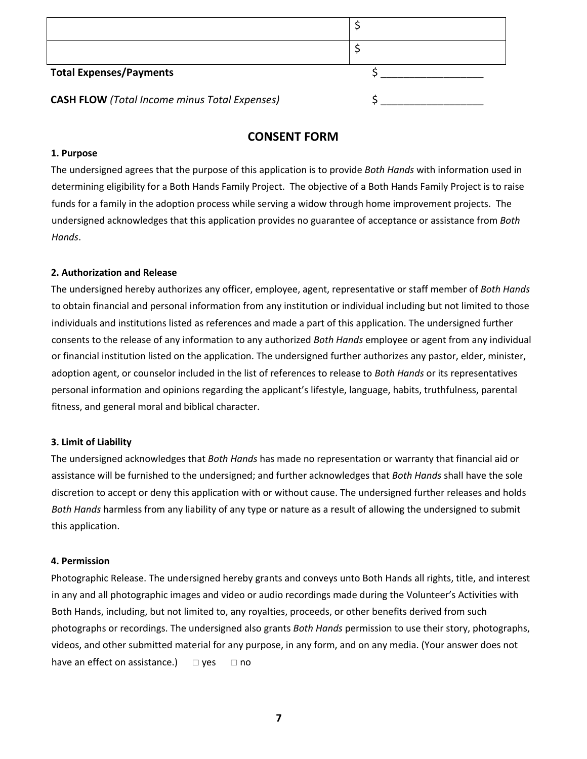| <b>Total Expenses/Payments</b>                       |  |
|------------------------------------------------------|--|
| <b>CASH FLOW</b> (Total Income minus Total Expenses) |  |

### **CONSENT FORM**

#### **1. Purpose**

The undersigned agrees that the purpose of this application is to provide *Both Hands* with information used in determining eligibility for a Both Hands Family Project. The objective of a Both Hands Family Project is to raise funds for a family in the adoption process while serving a widow through home improvement projects. The undersigned acknowledges that this application provides no guarantee of acceptance or assistance from *Both Hands*.

#### **2. Authorization and Release**

The undersigned hereby authorizes any officer, employee, agent, representative or staff member of *Both Hands*  to obtain financial and personal information from any institution or individual including but not limited to those individuals and institutions listed as references and made a part of this application. The undersigned further consents to the release of any information to any authorized *Both Hands* employee or agent from any individual or financial institution listed on the application. The undersigned further authorizes any pastor, elder, minister, adoption agent, or counselor included in the list of references to release to *Both Hands* or its representatives personal information and opinions regarding the applicant's lifestyle, language, habits, truthfulness, parental fitness, and general moral and biblical character.

#### **3. Limit of Liability**

The undersigned acknowledges that *Both Hands* has made no representation or warranty that financial aid or assistance will be furnished to the undersigned; and further acknowledges that *Both Hands* shall have the sole discretion to accept or deny this application with or without cause. The undersigned further releases and holds *Both Hands* harmless from any liability of any type or nature as a result of allowing the undersigned to submit this application.

#### **4. Permission**

Photographic Release. The undersigned hereby grants and conveys unto Both Hands all rights, title, and interest in any and all photographic images and video or audio recordings made during the Volunteer's Activities with Both Hands, including, but not limited to, any royalties, proceeds, or other benefits derived from such photographs or recordings. The undersigned also grants *Both Hands* permission to use their story, photographs, videos, and other submitted material for any purpose, in any form, and on any media. (Your answer does not have an effect on assistance.)  $\Box$  yes  $\Box$  no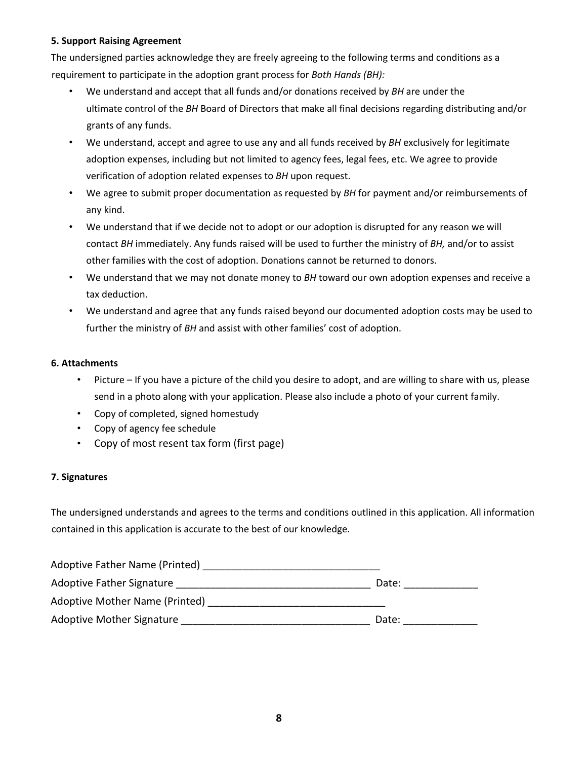#### **5. Support Raising Agreement**

The undersigned parties acknowledge they are freely agreeing to the following terms and conditions as a requirement to participate in the adoption grant process for *Both Hands (BH):* 

- We understand and accept that all funds and/or donations received by *BH* are under the ultimate control of the *BH* Board of Directors that make all final decisions regarding distributing and/or grants of any funds.
- We understand, accept and agree to use any and all funds received by *BH* exclusively for legitimate adoption expenses, including but not limited to agency fees, legal fees, etc. We agree to provide verification of adoption related expenses to *BH* upon request.
- We agree to submit proper documentation as requested by *BH* for payment and/or reimbursements of any kind.
- We understand that if we decide not to adopt or our adoption is disrupted for any reason we will contact *BH* immediately. Any funds raised will be used to further the ministry of *BH,* and/or to assist other families with the cost of adoption. Donations cannot be returned to donors.
- We understand that we may not donate money to *BH* toward our own adoption expenses and receive a tax deduction.
- We understand and agree that any funds raised beyond our documented adoption costs may be used to further the ministry of *BH* and assist with other families' cost of adoption.

#### **6. Attachments**

- Picture If you have a picture of the child you desire to adopt, and are willing to share with us, please send in a photo along with your application. Please also include a photo of your current family.
- Copy of completed, signed homestudy
- Copy of agency fee schedule
- Copy of most resent tax form (first page)

#### **7. Signatures**

The undersigned understands and agrees to the terms and conditions outlined in this application. All information contained in this application is accurate to the best of our knowledge.

| Adoptive Father Name (Printed)   |       |
|----------------------------------|-------|
| Adoptive Father Signature        | Date: |
| Adoptive Mother Name (Printed)   |       |
| <b>Adoptive Mother Signature</b> | Date: |